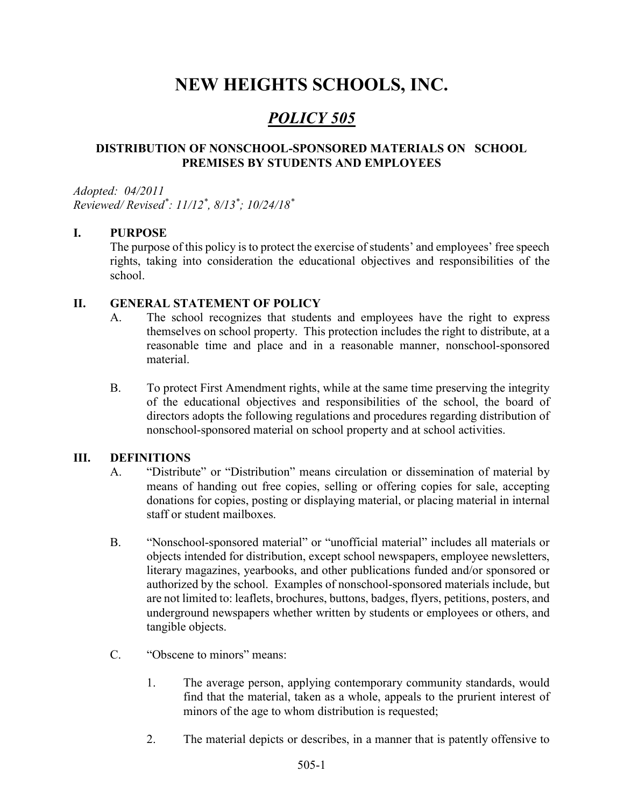# NEW HEIGHTS SCHOOLS, INC.

## POLICY 505

#### DISTRIBUTION OF NONSCHOOL-SPONSORED MATERIALS ON SCHOOL PREMISES BY STUDENTS AND EMPLOYEES

Adopted: 04/2011 Reviewed/ Revised\* : 11/12\* , 8/13\* ; 10/24/18\*

#### I. PURPOSE

The purpose of this policy is to protect the exercise of students' and employees' free speech rights, taking into consideration the educational objectives and responsibilities of the school.

#### II. GENERAL STATEMENT OF POLICY

- A. The school recognizes that students and employees have the right to express themselves on school property. This protection includes the right to distribute, at a reasonable time and place and in a reasonable manner, nonschool-sponsored material.
- B. To protect First Amendment rights, while at the same time preserving the integrity of the educational objectives and responsibilities of the school, the board of directors adopts the following regulations and procedures regarding distribution of nonschool-sponsored material on school property and at school activities.

#### III. DEFINITIONS

- A. "Distribute" or "Distribution" means circulation or dissemination of material by means of handing out free copies, selling or offering copies for sale, accepting donations for copies, posting or displaying material, or placing material in internal staff or student mailboxes.
- B. "Nonschool-sponsored material" or "unofficial material" includes all materials or objects intended for distribution, except school newspapers, employee newsletters, literary magazines, yearbooks, and other publications funded and/or sponsored or authorized by the school. Examples of nonschool-sponsored materials include, but are not limited to: leaflets, brochures, buttons, badges, flyers, petitions, posters, and underground newspapers whether written by students or employees or others, and tangible objects.
- C. "Obscene to minors" means:
	- 1. The average person, applying contemporary community standards, would find that the material, taken as a whole, appeals to the prurient interest of minors of the age to whom distribution is requested;
	- 2. The material depicts or describes, in a manner that is patently offensive to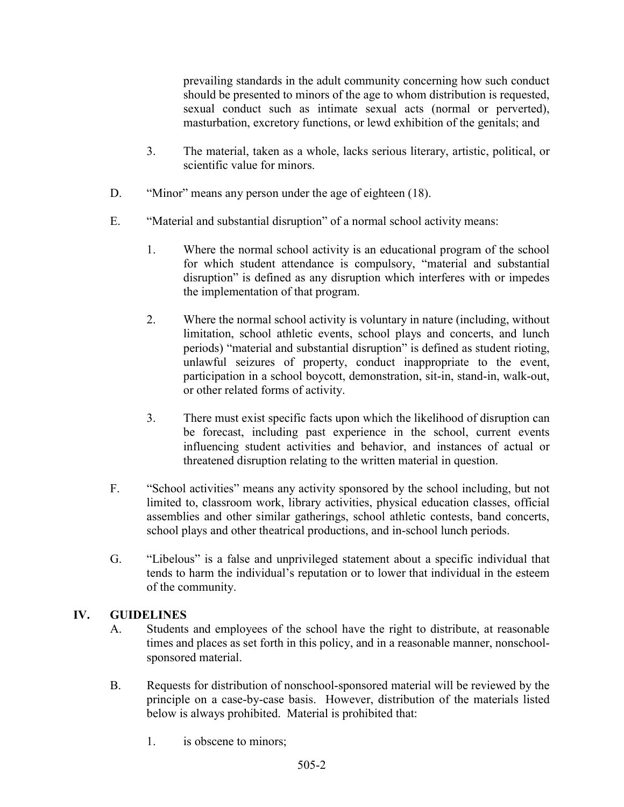prevailing standards in the adult community concerning how such conduct should be presented to minors of the age to whom distribution is requested, sexual conduct such as intimate sexual acts (normal or perverted), masturbation, excretory functions, or lewd exhibition of the genitals; and

- 3. The material, taken as a whole, lacks serious literary, artistic, political, or scientific value for minors.
- D. "Minor" means any person under the age of eighteen (18).
- E. "Material and substantial disruption" of a normal school activity means:
	- 1. Where the normal school activity is an educational program of the school for which student attendance is compulsory, "material and substantial disruption" is defined as any disruption which interferes with or impedes the implementation of that program.
	- 2. Where the normal school activity is voluntary in nature (including, without limitation, school athletic events, school plays and concerts, and lunch periods) "material and substantial disruption" is defined as student rioting, unlawful seizures of property, conduct inappropriate to the event, participation in a school boycott, demonstration, sit-in, stand-in, walk-out, or other related forms of activity.
	- 3. There must exist specific facts upon which the likelihood of disruption can be forecast, including past experience in the school, current events influencing student activities and behavior, and instances of actual or threatened disruption relating to the written material in question.
- F. "School activities" means any activity sponsored by the school including, but not limited to, classroom work, library activities, physical education classes, official assemblies and other similar gatherings, school athletic contests, band concerts, school plays and other theatrical productions, and in-school lunch periods.
- G. "Libelous" is a false and unprivileged statement about a specific individual that tends to harm the individual's reputation or to lower that individual in the esteem of the community.

#### IV. GUIDELINES

- A. Students and employees of the school have the right to distribute, at reasonable times and places as set forth in this policy, and in a reasonable manner, nonschoolsponsored material.
- B. Requests for distribution of nonschool-sponsored material will be reviewed by the principle on a case-by-case basis. However, distribution of the materials listed below is always prohibited. Material is prohibited that:
	- 1. is obscene to minors;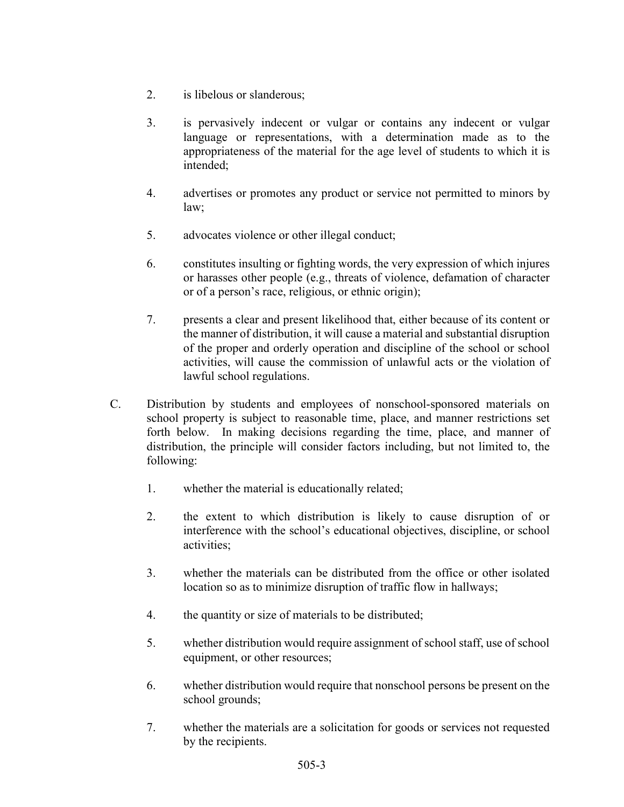- 2. is libelous or slanderous;
- 3. is pervasively indecent or vulgar or contains any indecent or vulgar language or representations, with a determination made as to the appropriateness of the material for the age level of students to which it is intended;
- 4. advertises or promotes any product or service not permitted to minors by law;
- 5. advocates violence or other illegal conduct;
- 6. constitutes insulting or fighting words, the very expression of which injures or harasses other people (e.g., threats of violence, defamation of character or of a person's race, religious, or ethnic origin);
- 7. presents a clear and present likelihood that, either because of its content or the manner of distribution, it will cause a material and substantial disruption of the proper and orderly operation and discipline of the school or school activities, will cause the commission of unlawful acts or the violation of lawful school regulations.
- C. Distribution by students and employees of nonschool-sponsored materials on school property is subject to reasonable time, place, and manner restrictions set forth below. In making decisions regarding the time, place, and manner of distribution, the principle will consider factors including, but not limited to, the following:
	- 1. whether the material is educationally related;
	- 2. the extent to which distribution is likely to cause disruption of or interference with the school's educational objectives, discipline, or school activities;
	- 3. whether the materials can be distributed from the office or other isolated location so as to minimize disruption of traffic flow in hallways;
	- 4. the quantity or size of materials to be distributed;
	- 5. whether distribution would require assignment of school staff, use of school equipment, or other resources;
	- 6. whether distribution would require that nonschool persons be present on the school grounds;
	- 7. whether the materials are a solicitation for goods or services not requested by the recipients.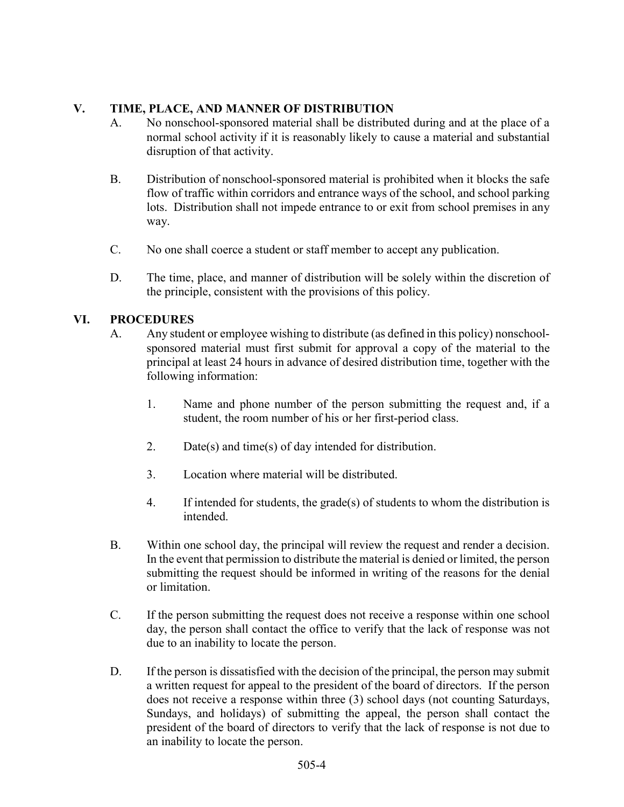### V. TIME, PLACE, AND MANNER OF DISTRIBUTION

- A. No nonschool-sponsored material shall be distributed during and at the place of a normal school activity if it is reasonably likely to cause a material and substantial disruption of that activity.
- B. Distribution of nonschool-sponsored material is prohibited when it blocks the safe flow of traffic within corridors and entrance ways of the school, and school parking lots. Distribution shall not impede entrance to or exit from school premises in any way.
- C. No one shall coerce a student or staff member to accept any publication.
- D. The time, place, and manner of distribution will be solely within the discretion of the principle, consistent with the provisions of this policy.

#### VI. PROCEDURES

- A. Any student or employee wishing to distribute (as defined in this policy) nonschoolsponsored material must first submit for approval a copy of the material to the principal at least 24 hours in advance of desired distribution time, together with the following information:
	- 1. Name and phone number of the person submitting the request and, if a student, the room number of his or her first-period class.
	- 2. Date(s) and time(s) of day intended for distribution.
	- 3. Location where material will be distributed.
	- 4. If intended for students, the grade(s) of students to whom the distribution is intended.
- B. Within one school day, the principal will review the request and render a decision. In the event that permission to distribute the material is denied or limited, the person submitting the request should be informed in writing of the reasons for the denial or limitation.
- C. If the person submitting the request does not receive a response within one school day, the person shall contact the office to verify that the lack of response was not due to an inability to locate the person.
- D. If the person is dissatisfied with the decision of the principal, the person may submit a written request for appeal to the president of the board of directors. If the person does not receive a response within three (3) school days (not counting Saturdays, Sundays, and holidays) of submitting the appeal, the person shall contact the president of the board of directors to verify that the lack of response is not due to an inability to locate the person.